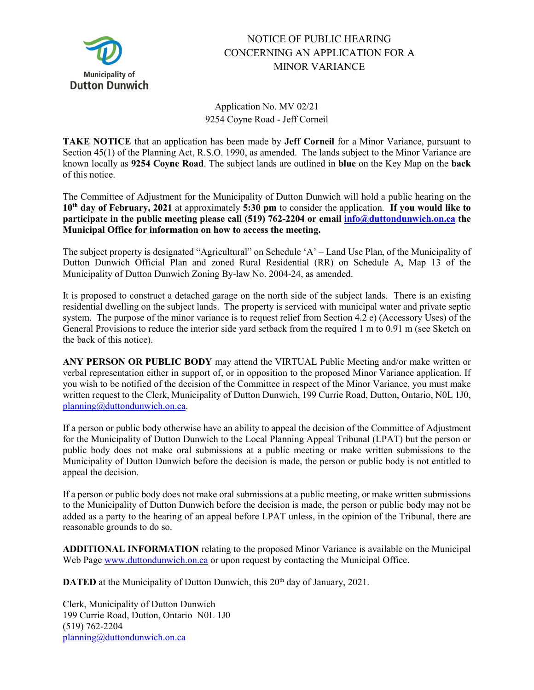

## NOTICE OF PUBLIC HEARING CONCERNING AN APPLICATION FOR A MINOR VARIANCE

## Application No. MV 02/21 9254 Coyne Road - Jeff Corneil

**TAKE NOTICE** that an application has been made by **Jeff Corneil** for a Minor Variance, pursuant to Section 45(1) of the Planning Act, R.S.O. 1990, as amended. The lands subject to the Minor Variance are known locally as **9254 Coyne Road**. The subject lands are outlined in **blue** on the Key Map on the **back** of this notice.

The Committee of Adjustment for the Municipality of Dutton Dunwich will hold a public hearing on the **10th day of February, 2021** at approximately **5:30 pm** to consider the application. **If you would like to participate in the public meeting please call (519) 762-2204 or email [info@duttondunwich.on.ca](mailto:info@duttondunwich.on.ca) the Municipal Office for information on how to access the meeting.**

The subject property is designated "Agricultural" on Schedule 'A' – Land Use Plan, of the Municipality of Dutton Dunwich Official Plan and zoned Rural Residential (RR) on Schedule A, Map 13 of the Municipality of Dutton Dunwich Zoning By-law No. 2004-24, as amended.

It is proposed to construct a detached garage on the north side of the subject lands. There is an existing residential dwelling on the subject lands. The property is serviced with municipal water and private septic system. The purpose of the minor variance is to request relief from Section 4.2 e) (Accessory Uses) of the General Provisions to reduce the interior side yard setback from the required 1 m to 0.91 m (see Sketch on the back of this notice).

**ANY PERSON OR PUBLIC BODY** may attend the VIRTUAL Public Meeting and/or make written or verbal representation either in support of, or in opposition to the proposed Minor Variance application. If you wish to be notified of the decision of the Committee in respect of the Minor Variance, you must make written request to the Clerk, Municipality of Dutton Dunwich, 199 Currie Road, Dutton, Ontario, N0L 1J0, [planning@duttondunwich.on.ca.](mailto:planning@duttondunwich.on.ca)

If a person or public body otherwise have an ability to appeal the decision of the Committee of Adjustment for the Municipality of Dutton Dunwich to the Local Planning Appeal Tribunal (LPAT) but the person or public body does not make oral submissions at a public meeting or make written submissions to the Municipality of Dutton Dunwich before the decision is made, the person or public body is not entitled to appeal the decision.

If a person or public body does not make oral submissions at a public meeting, or make written submissions to the Municipality of Dutton Dunwich before the decision is made, the person or public body may not be added as a party to the hearing of an appeal before LPAT unless, in the opinion of the Tribunal, there are reasonable grounds to do so.

**ADDITIONAL INFORMATION** relating to the proposed Minor Variance is available on the Municipal Web Page [www.duttondunwich.on.ca](http://www.duttondunwich.on.ca/) or upon request by contacting the Municipal Office.

**DATED** at the Municipality of Dutton Dunwich, this 20<sup>th</sup> day of January, 2021.

Clerk, Municipality of Dutton Dunwich 199 Currie Road, Dutton, Ontario N0L 1J0 (519) 762-2204 [planning@duttondunwich.on.ca](mailto:planning@duttondunwich.on.ca)